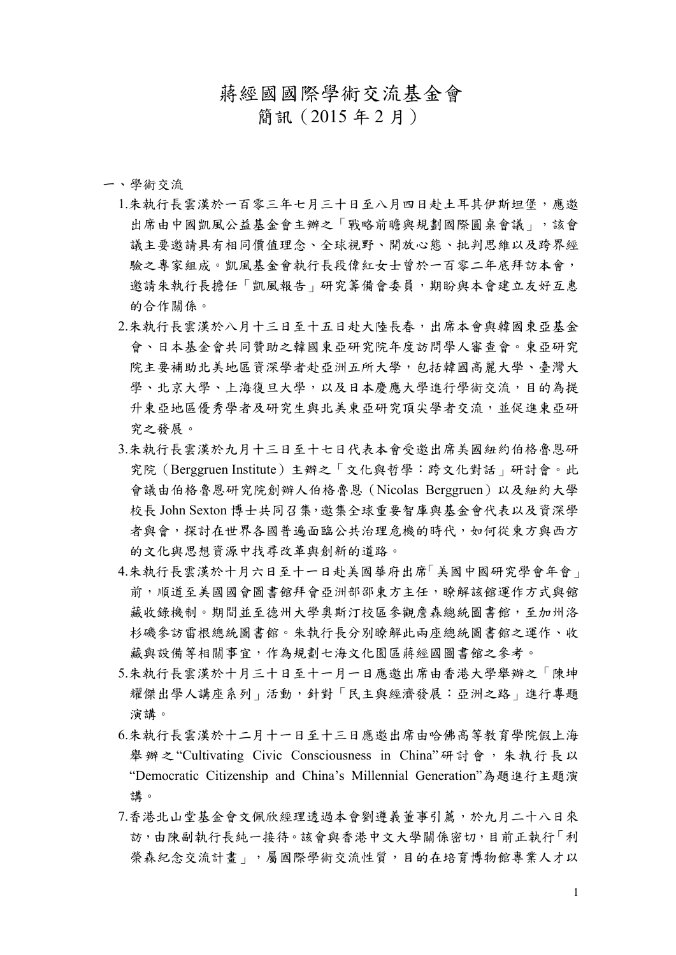# 蔣經國國際學術交流基金會

簡訊(2015 年 2 月)

一、學術交流

- 1.朱執行長雲漢於一百零三年七月三十日至八月四日赴土耳其伊斯坦堡,應邀 出席由中國凱風公益基金會主辦之「戰略前瞻與規劃國際圓桌會議」,該會 議主要邀請具有相同價值理念、全球視野、開放心態、批判思維以及跨界經 驗之專家組成。凱風基金會執行長段偉紅女士曾於一百零二年底拜訪本會, 邀請朱執行長擔任「凱風報告」研究籌備會委員,期盼與本會建立友好互惠 的合作關係。
- 2.朱執行長雲漢於八月十三日至十五日赴大陸長春,出席本會與韓國東亞基金 會、日本基金會共同贊助之韓國東亞研究院年度訪問學人審查會。東亞研究 院主要補助北美地區資深學者赴亞洲五所大學,包括韓國高麗大學、臺灣大 學、北京大學、上海復旦大學,以及日本慶應大學進行學術交流,目的為提 升東亞地區優秀學者及研究生與北美東亞研究頂尖學者交流,並促進東亞研 究之發展。
- 3.朱執行長雲漢於九月十三日至十七日代表本會受邀出席美國紐約伯格魯恩研 究院(Berggruen Institute)主辦之「文化與哲學:跨文化對話」研討會。此 會議由伯格魯恩研究院創辦人伯格魯恩(Nicolas Berggruen)以及紐約大學 校長 John Sexton 博士共同召集,邀集全球重要智庫與基金會代表以及資深學 者與會,探討在世界各國普遍面臨公共治理危機的時代,如何從東方與西方 的文化與思想資源中找尋改革與創新的道路。
- 4.朱執行長雲漢於十月六日至十一日赴美國華府出席「美國中國研究學會年會」 前,順道至美國國會圖書館拜會亞洲部邵東方主任,瞭解該館運作方式與館 藏收錄機制。期間並至德州大學奧斯汀校區參觀詹森總統圖書館,至加州洛 杉磯參訪雷根總統圖書館。朱執行長分別瞭解此兩座總統圖書館之運作、收 藏與設備等相關事宜,作為規劃七海文化園區蔣經國圖書館之參考。
- 5.朱執行長雲漢於十月三十日至十一月一日應邀出席由香港大學舉辦之「陳坤 耀傑出學人講座系列」活動,針對「民主與經濟發展:亞洲之路」進行專題 演講。
- 6.朱執行長雲漢於十二月十一日至十三日應邀出席由哈佛高等教育學院假上海 舉辦之"Cultivating Civic Consciousness in China"研討會,朱執行長以 "Democratic Citizenship and China's Millennial Generation"為題進行主題演 講。
- 7.香港北山堂基金會文佩欣經理透過本會劉遵義董事引薦,於九月二十八日來 訪,由陳副執行長純一接待。該會與香港中文大學關係密切,目前正執行「利 榮森紀念交流計書」,屬國際學術交流性質,目的在培育博物館專業人才以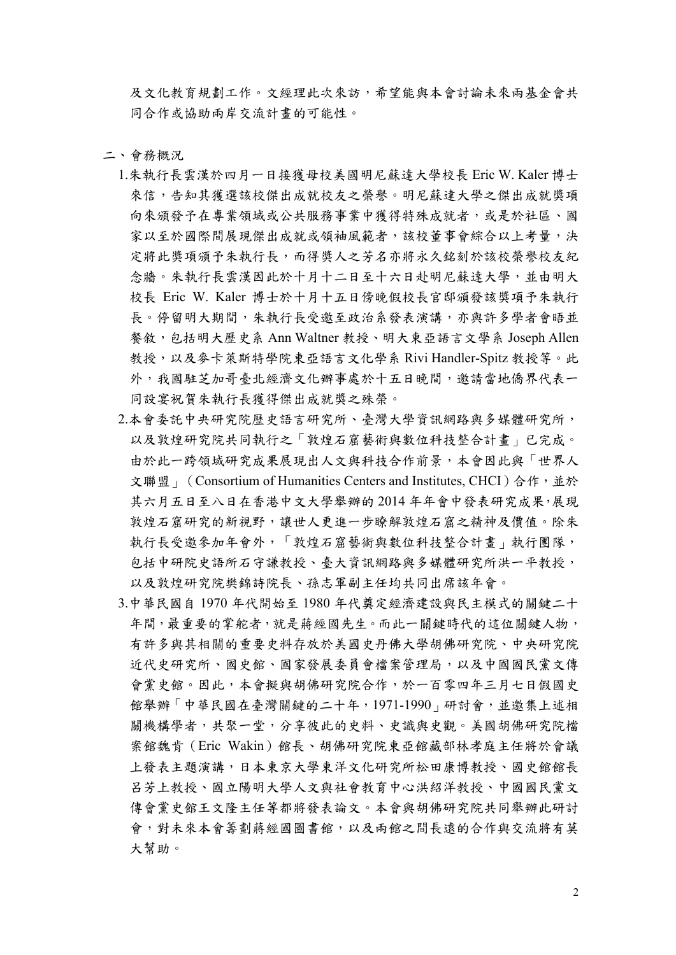及文化教育規劃工作。文經理此次來訪,希望能與本會討論未來兩基金會共 同合作或協助兩岸交流計畫的可能性。

二、會務概況

- 1.朱執行長雲漢於四月一日接獲母校美國明尼蘇達大學校長 Eric W. Kaler 博士 來信,告知其獲選該校傑出成就校友之榮譽。明尼蘇達大學之傑出成就獎項 向來頒發予在專業領域或公共服務事業中獲得特殊成就者,或是於社區、國 家以至於國際間展現傑出成就或領袖風範者,該校董事會綜合以上考量,決 定將此獎項頒予朱執行長,而得獎人之芳名亦將永久銘刻於該校榮譽校友紀 念牆。朱執行長雲漢因此於十月十二日至十六日赴明尼蘇達大學,並由明大 校長 Eric W. Kaler 博士於十月十五日傍晚假校長官邸頒發該獎項予朱執行 長。停留明大期間,朱執行長受邀至政治系發表演講,亦與許多學者會晤並 餐敘,包括明大歷史系 Ann Waltner 教授、明大東亞語言文學系 Joseph Allen 教授,以及麥卡萊斯特學院東亞語言文化學系 Rivi Handler-Spitz 教授等。此 外,我國駐芝加哥臺北經濟文化辦事處於十五日晚間,邀請當地僑界代表一 同設宴祝賀朱執行長獲得傑出成就獎之殊榮。
- 2.本會委託中央研究院歷史語言研究所、臺灣大學資訊網路與多媒體研究所, 以及敦煌研究院共同執行之「敦煌石窟藝術與數位科技整合計畫」已完成。 由於此一跨領域研究成果展現出人文與科技合作前景,本會因此與「世界人 文聯盟」(Consortium of Humanities Centers and Institutes, CHCI)合作, 並於 其六月五日至八日在香港中文大學舉辦的 2014 年年會中發表研究成果,展現 敦煌石窟研究的新視野,讓世人更進一步瞭解敦煌石窟之精神及價值。除朱 執行長受邀參加年會外,「敦煌石窟藝術與數位科技整合計畫」執行團隊, 包括中研院史語所石守謙教授、臺大資訊網路與多媒體研究所洪一平教授, 以及敦煌研究院樊錦詩院長、孫志軍副主任均共同出席該年會。
- 3.中華民國自 1970 年代開始至 1980 年代奠定經濟建設與民主模式的關鍵二十 年間,最重要的掌舵者,就是蔣經國先生。而此一關鍵時代的這位關鍵人物, 有許多與其相關的重要史料存放於美國史丹佛大學胡佛研究院、中央研究院 近代史研究所、國史館、國家發展委員會檔案管理局,以及中國國民黨文傳 會黨史館。因此,本會擬與胡佛研究院合作,於一百零四年三月七日假國史 館舉辦「中華民國在臺灣關鍵的二十年,1971-1990」研討會,並邀集上述相 關機構學者,共聚一堂,分享彼此的史料、史識與史觀。美國胡佛研究院檔 案館魏肯(Eric Wakin)館長、胡佛研究院東亞館藏部林孝庭主任將於會議 上發表主題演講,日本東京大學東洋文化研究所松田康博教授、國史館館長 呂芳上教授、國立陽明大學人文與社會教育中心洪紹洋教授、中國國民黨文 傳會黨史館王文隆主任等都將發表論文。本會與胡佛研究院共同舉辦此研討 會,對未來本會籌劃蔣經國圖書館,以及兩館之間長遠的合作與交流將有莫 大幫助。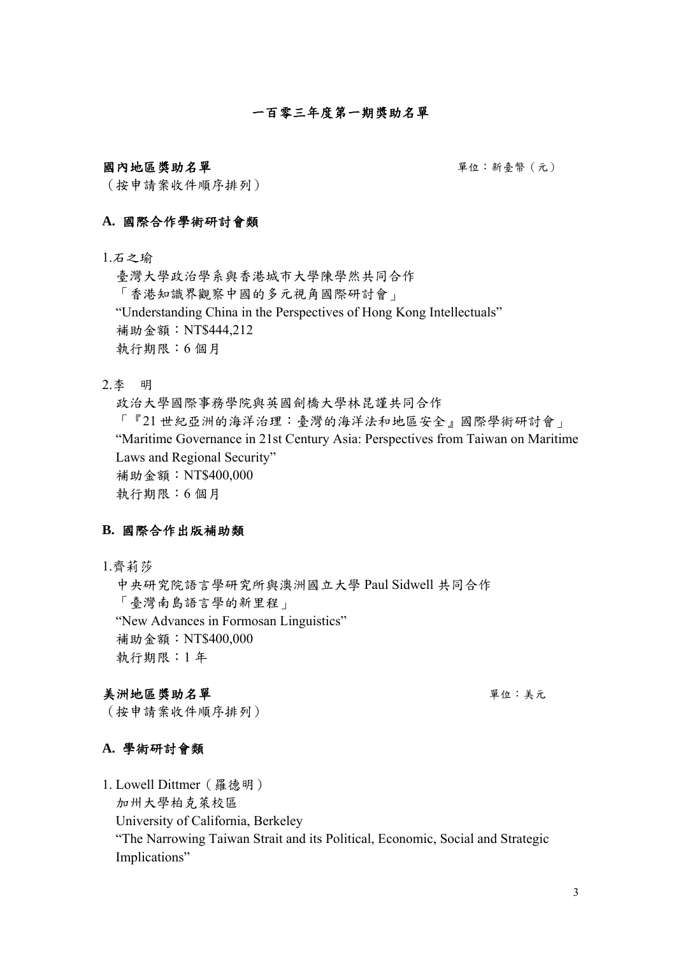# 一百零三年度第一期獎助名單

#### 國內地區獎助名單 要是 第一次 事件 计数据 医单位:新豪幣(元)

(按申請案收件順序排列)

### **A.** 國際合作學術研討會類

#### 1.石之瑜

臺灣大學政治學系與香港城市大學陳學然共同合作 「香港知識界觀察中國的多元視角國際研討會」 "Understanding China in the Perspectives of Hong Kong Intellectuals" 補助金額:NT\$444,212 執行期限:6 個月

2.李 明

政治大學國際事務學院與英國劍橋大學林昆謹共同合作 「『21 世紀亞洲的海洋治理:臺灣的海洋法和地區安全』國際學術研討會」 "Maritime Governance in 21st Century Asia: Perspectives from Taiwan on Maritime Laws and Regional Security" 補助金額:NT\$400,000 執行期限:6 個月

### **B.** 國際合作出版補助類

1.齊莉莎

中央研究院語言學研究所與澳洲國立大學 Paul Sidwell 共同合作 「臺灣南島語言學的新里程」 "New Advances in Formosan Linguistics" 補助金額:NT\$400,000 執行期限:1 年

# 美洲地區獎助名單單位:美元

(按申請案收件順序排列)

#### **A.** 學術研討會類

1. Lowell Dittmer(羅德明)

加州大學柏克萊校區

University of California, Berkeley

"The Narrowing Taiwan Strait and its Political, Economic, Social and Strategic Implications"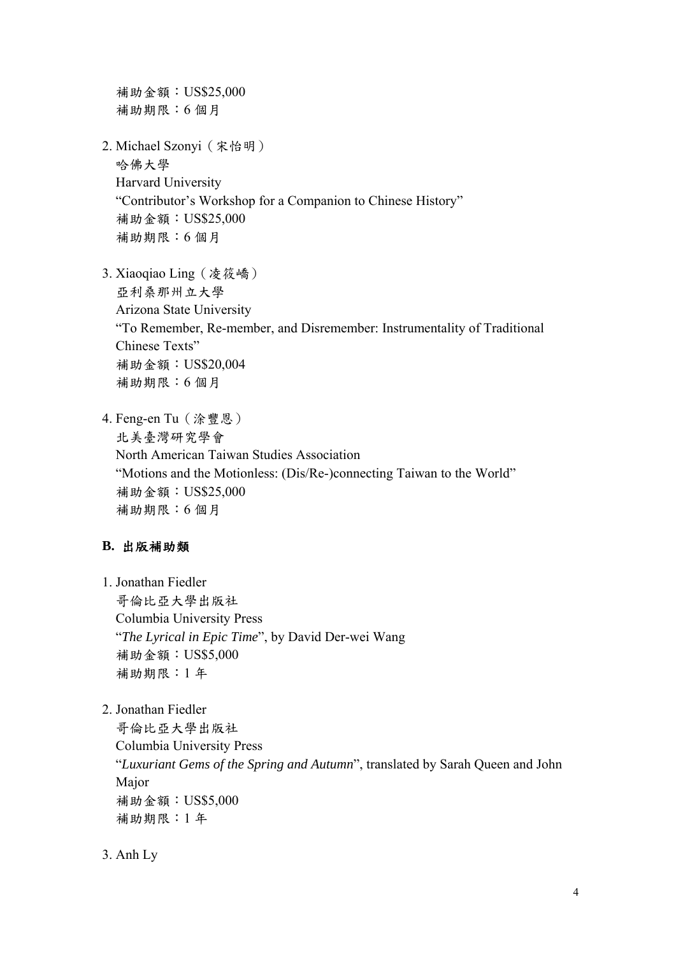補助金額:US\$25,000 補助期限:6 個月 2. Michael Szonyi(宋怡明) 哈佛大學 Harvard University "Contributor's Workshop for a Companion to Chinese History" 補助金額:US\$25,000 補助期限:6 個月

- 3. Xiaoqiao Ling(凌筱嶠) 亞利桑那州立大學 Arizona State University "To Remember, Re-member, and Disremember: Instrumentality of Traditional Chinese Texts" 補助金額:US\$20,004 補助期限:6 個月
- 4. Feng-en Tu(涂豐恩) 北美臺灣研究學會 North American Taiwan Studies Association "Motions and the Motionless: (Dis/Re-)connecting Taiwan to the World" 補助金額:US\$25,000 補助期限:6 個月

# **B.** 出版補助類

- 1. Jonathan Fiedler 哥倫比亞大學出版社 Columbia University Press "*The Lyrical in Epic Time*", by David Der-wei Wang 補助金額:US\$5,000 補助期限:1 年
- 2. Jonathan Fiedler

哥倫比亞大學出版社 Columbia University Press "*Luxuriant Gems of the Spring and Autumn*", translated by Sarah Queen and John Major 補助金額:US\$5,000 補助期限:1 年

3. Anh Ly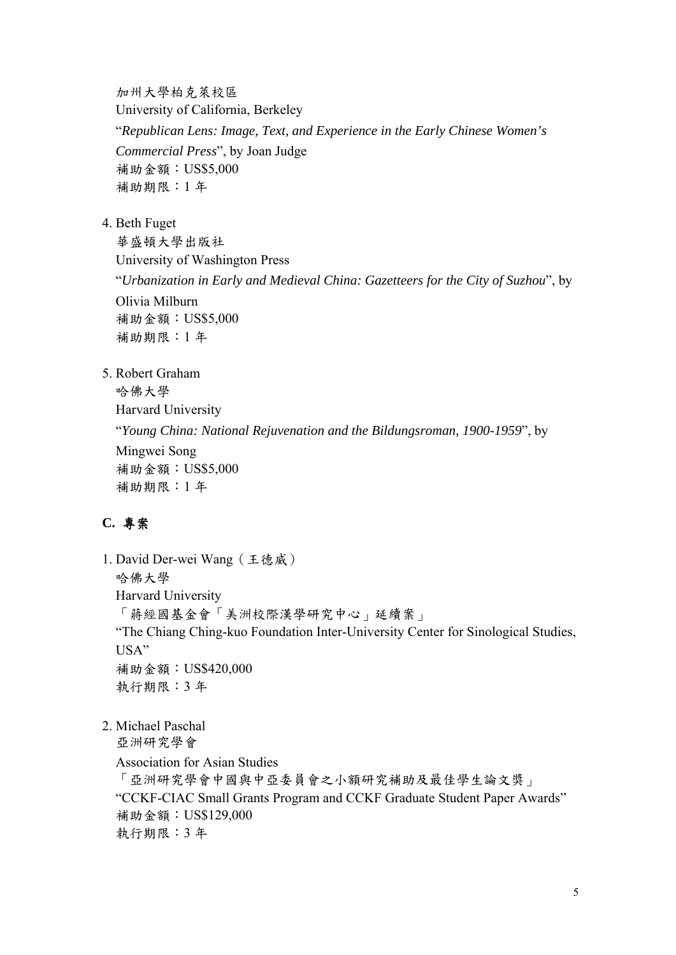加州大學柏克萊校區 University of California, Berkeley "*Republican Lens: Image, Text, and Experience in the Early Chinese Women's Commercial Press*", by Joan Judge 補助金額:US\$5,000 補助期限:1 年

4. Beth Fuget

華盛頓大學出版社 University of Washington Press "*Urbanization in Early and Medieval China: Gazetteers for the City of Suzhou*", by Olivia Milburn 補助金額:US\$5,000 補助期限:1 年

5. Robert Graham

哈佛大學 Harvard University "*Young China: National Rejuvenation and the Bildungsroman, 1900-1959*", by Mingwei Song 補助金額:US\$5,000 補助期限:1 年

# **C.** 專案

1. David Der-wei Wang(王德威) 哈佛大學 Harvard University 「蔣經國基金會「美洲校際漢學研究中心」延續案」 "The Chiang Ching-kuo Foundation Inter-University Center for Sinological Studies, USA" 補助金額:US\$420,000 執行期限:3 年

2. Michael Paschal

亞洲研究學會 Association for Asian Studies 「亞洲研究學會中國與中亞委員會之小額研究補助及最佳學生論文獎」 "CCKF-CIAC Small Grants Program and CCKF Graduate Student Paper Awards" 補助金額:US\$129,000 執行期限:3 年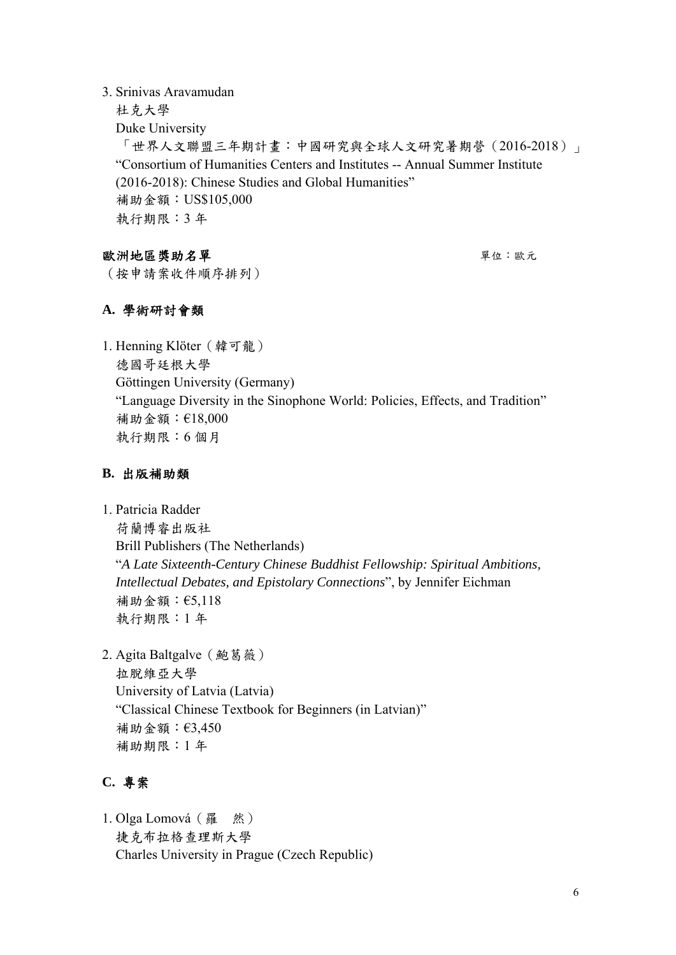### 3. Srinivas Aravamudan

杜克大學 Duke University 「世界人文聯盟三年期計畫:中國研究與全球人文研究暑期營(2016-2018)」 "Consortium of Humanities Centers and Institutes -- Annual Summer Institute (2016-2018): Chinese Studies and Global Humanities" 補助金額:US\$105,000 執行期限:3 年

# 歐洲地區獎助名單 第二十一章 事例 电电子 医无心肌 医心包 医心包

(按申請案收件順序排列)

# **A.** 學術研討會類

1. Henning Klöter(韓可龍) 德國哥廷根大學 Göttingen University (Germany) "Language Diversity in the Sinophone World: Policies, Effects, and Tradition" 補助金額:€18,000 執行期限:6 個月

# **B.** 出版補助類

- 1. Patricia Radder 荷蘭博睿出版社 Brill Publishers (The Netherlands) "*A Late Sixteenth-Century Chinese Buddhist Fellowship: Spiritual Ambitions, Intellectual Debates, and Epistolary Connections*", by Jennifer Eichman 補助金額:€5,118 執行期限:1 年
- 2. Agita Baltgalve (鮑葛薇) 拉脫維亞大學 University of Latvia (Latvia) "Classical Chinese Textbook for Beginners (in Latvian)" 補助金額:€3,450 補助期限:1 年

# **C.** 專案

1. Olga Lomová(羅 然) 捷克布拉格查理斯大學 Charles University in Prague (Czech Republic)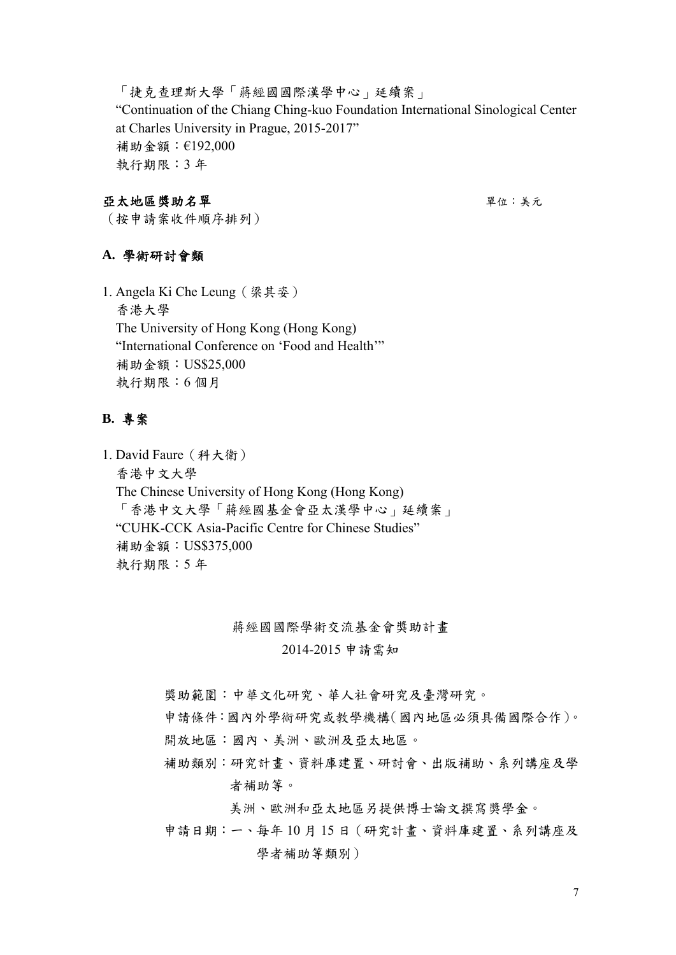「捷克查理斯大學「蔣經國國際漢學中心」延續案」 "Continuation of the Chiang Ching-kuo Foundation International Sinological Center at Charles University in Prague, 2015-2017" 補助金額:€192,000 執行期限:3 年

### 亞太地區獎助名單 第二十一章 事例 电大地区 医动脉瘤 医大脑下垂 医心包炎

(按申請案收件順序排列)

# **A.** 學術研討會類

1. Angela Ki Che Leung(梁其姿) 香港大學 The University of Hong Kong (Hong Kong) "International Conference on 'Food and Health'" 補助金額:US\$25,000 執行期限:6 個月

# **B.** 專案

1. David Faure(科大衛) 香港中文大學 The Chinese University of Hong Kong (Hong Kong) 「香港中文大學「蔣經國基金會亞太漢學中心」延續案」 "CUHK-CCK Asia-Pacific Centre for Chinese Studies" 補助金額:US\$375,000 執行期限:5 年

蔣經國國際學術交流基金會獎助計畫

2014-2015 申請需知

獎助範圍:中華文化研究、華人社會研究及臺灣研究。

申請條件:國內外學術研究或教學機構(國內地區必須具備國際合作)。

- 開放地區:國內、美洲、歐洲及亞太地區。
- 補助類別:研究計畫、資料庫建置、研討會、出版補助、系列講座及學 者補助等。

美洲、歐洲和亞太地區另提供博士論文撰寫獎學金。

申請日期:一、每年 10 月 15 日(研究計畫、資料庫建置、系列講座及 學者補助等類別)

7